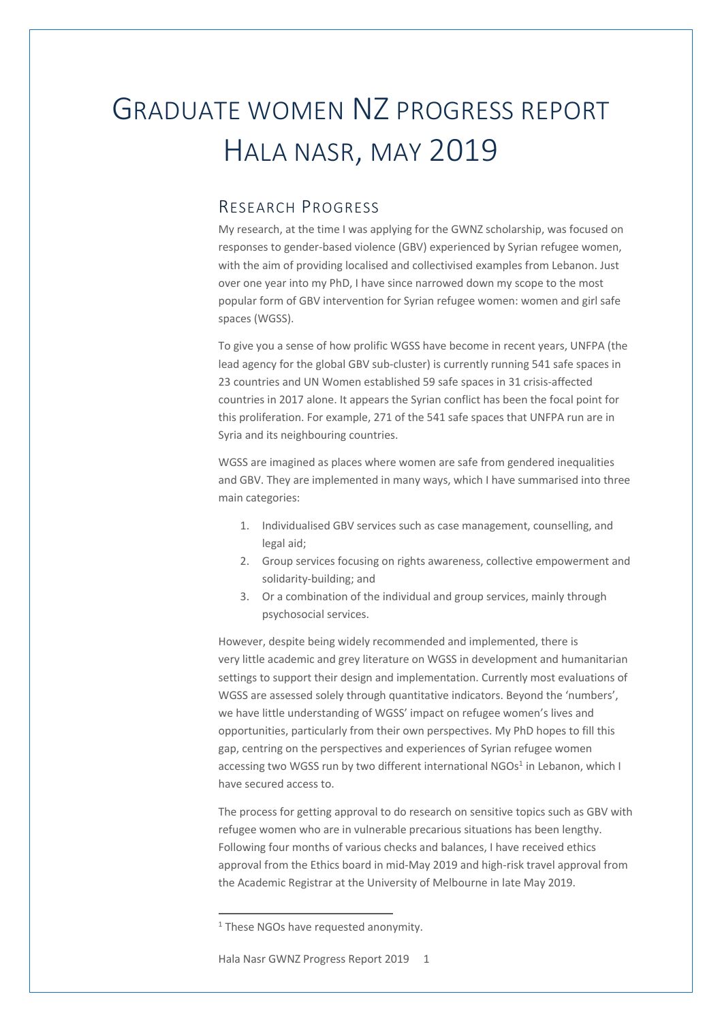## GRADUATE WOMEN NZ PROGRESS REPORT HALA NASR, MAY 2019

## RESEARCH PROGRESS

My research, at the time I was applying for the GWNZ scholarship, was focused on responses to gender-based violence (GBV) experienced by Syrian refugee women, with the aim of providing localised and collectivised examples from Lebanon. Just over one year into my PhD, I have since narrowed down my scope to the most popular form of GBV intervention for Syrian refugee women: women and girl safe spaces (WGSS).

To give you a sense of how prolific WGSS have become in recent years, UNFPA (the lead agency for the global GBV sub-cluster) is currently running 541 safe spaces in 23 countries and UN Women established 59 safe spaces in 31 crisis-affected countries in 2017 alone. It appears the Syrian conflict has been the focal point for this proliferation. For example, 271 of the 541 safe spaces that UNFPA run are in Syria and its neighbouring countries.

WGSS are imagined as places where women are safe from gendered inequalities and GBV. They are implemented in many ways, which I have summarised into three main categories:

- 1. Individualised GBV services such as case management, counselling, and legal aid;
- 2. Group services focusing on rights awareness, collective empowerment and solidarity-building; and
- 3. Or a combination of the individual and group services, mainly through psychosocial services.

However, despite being widely recommended and implemented, there is very little academic and grey literature on WGSS in development and humanitarian settings to support their design and implementation. Currently most evaluations of WGSS are assessed solely through quantitative indicators. Beyond the 'numbers', we have little understanding of WGSS' impact on refugee women's lives and opportunities, particularly from their own perspectives. My PhD hopes to fill this gap, centring on the perspectives and experiences of Syrian refugee women accessing two WGSS run by two different international  $NGOs<sup>1</sup>$  in Lebanon, which I have secured access to.

The process for getting approval to do research on sensitive topics such as GBV with refugee women who are in vulnerable precarious situations has been lengthy. Following four months of various checks and balances, I have received ethics approval from the Ethics board in mid-May 2019 and high-risk travel approval from the Academic Registrar at the University of Melbourne in late May 2019.

<sup>&</sup>lt;sup>1</sup> These NGOs have requested anonymity.